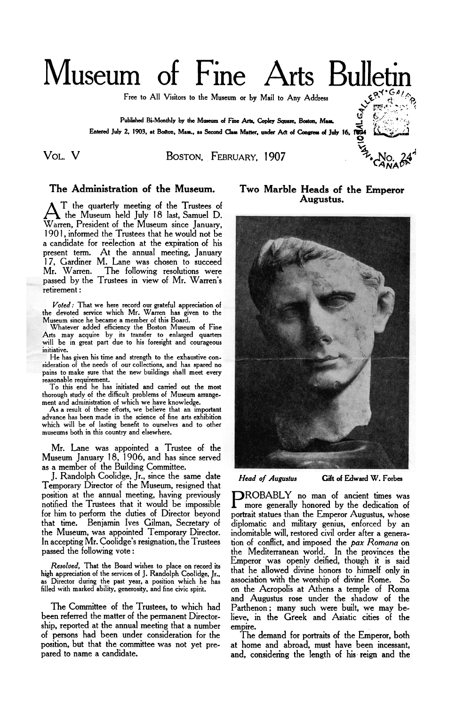# Museum of Fine Arts Bullet

Free to All Visitors to the Museum **or by** Mail to Any Address

**Published Bi-Monthly by the Museum of Fine Arts, Copley** *Square.* **Boston, Mass. Entered July 2, 1903, at Boston, Mass., as Second Class Matter. under Act of Congress of July 16, 1894** 

## VOL. v **BOSTON,** FEBRUARY, 1907 No. **24**

### **The Administration of the Museum.**

T the quarterly meeting of the Trustees of <br>
At the Museum held July 18 last, Samuel D. Warren, President of the Museum since January, 1901, informed the Trustees that he would not be a candidate for reelection at the expiration of his present term. At the annual meeting, January 17, Gardiner M. Lane was chosen to succeed Mr. Warren. The following resolutions were passed by the Trustees in view of Mr. Warren's retirement : The Administration of the Museum.<br> *T* the quarterly meeting of the Trustees of<br>
the Museum held July 18 last, Samuel D.<br>
arren, President of the Museum since January,<br>
01, informed the Trustees that he would not be<br>
sent

the devoted service which Mr. Warren has given to the

Museum since he became a member of this Board. Whatever added efficiency the Boston Museum of Fine Arts may acquire by its transfer to enlarged quarters will be in great part due to his foresight and courageous initiative.

He has given his time and strength to the exhaustive consideration of the needs of **our** collections, and has spared no pains to make sure that the new buildings shall meet every

reasonable requirement. To this end he has initiated and carried out the most thorough study of the difficult problems of Museum arrangement and administration of which we have knowledge.

**As** a result of these efforts, we believe that an important advance has been made in the science of fine arts exhibition which will be of lasting benefit to ourselves and to other museums both in this country and elsewhere.

Mr. Lane was appointed a Trustee of the Museum January 18, 1906, and has since served as a member of the Building Committee.

J. Randolph Coolidge, Jr., since the same date Temporary Director of the Museum, resigned that position at the annual meeting, having previously<br>notified the Trustees that it would be impossible **P** more generally honored by the dedication of for him to perform the duties of Director beyond portrait statues than the Emperor Augustus, whose<br>that time. Benjamin Ives Gilman, Secretary of diplomatic and military genius, enforced by an that time. Benjamin Ives Gilman, Secretary of diplomatic and military genius, enforced by an the Museum, was appointed Temporary Director. indomitable will, restored civil order after a genera-<br>In accepting Mr. Coolidge's resignation, the Trustees tion of conflict, and imposed the pax Romana on In accepting Mr. Coolidge's resignation, the Trustees tion of conflict, and imposed the *pax Romana* on

*Resolved,* That the Board wishes to place on record its high appreciation of the services of J. Randolph Coolidge, **Jr.,** as Director during the past year, a position which he has filled with marked ability, generosity, and fine civic spirit.

The Committee of the Trustees, to which had been referred the matter of the permanent Directorship, reported at the annual meeting that a number of persons had been under consideration for the position, but that the committee was not yet prepared to name a candidate.

**Two Marble Heads of the Emperor Augustus.** 



*Head of Augustus* Gift of Edward W. Forbes

passed the following vote:<br>passed the following vote: the Mediterranean world. In the provinces the Emperor was openly deified, though it is said that he allowed divine honors to himself only in association with the worship of divine Rome. *So* on the Acropolis at Athens a temple of Roma and Augustus rose under the shadow of the Parthenon; many such were built, we may believe, in the Greek and Asiatic cities of the empire.

The demand for portraits **of** the Emperor, both at home and abroad, must have been incessant, and, **considering** the length of **his** reign and the